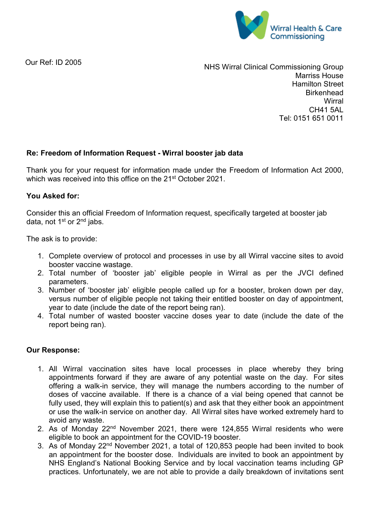

Our Ref: ID 2005

NHS Wirral Clinical Commissioning Group Marriss House Hamilton Street **Birkenhead Wirral** CH41 5AL Tel: 0151 651 0011

## **Re: Freedom of Information Request - Wirral booster jab data**

Thank you for your request for information made under the Freedom of Information Act 2000, which was received into this office on the 21<sup>st</sup> October 2021.

## **You Asked for:**

Consider this an official Freedom of Information request, specifically targeted at booster jab data, not 1<sup>st</sup> or 2<sup>nd</sup> jabs.

The ask is to provide:

- 1. Complete overview of protocol and processes in use by all Wirral vaccine sites to avoid booster vaccine wastage.
- 2. Total number of 'booster jab' eligible people in Wirral as per the JVCI defined parameters.
- 3. Number of 'booster jab' eligible people called up for a booster, broken down per day, versus number of eligible people not taking their entitled booster on day of appointment, year to date (include the date of the report being ran).
- 4. Total number of wasted booster vaccine doses year to date (include the date of the report being ran).

## **Our Response:**

- 1. All Wirral vaccination sites have local processes in place whereby they bring appointments forward if they are aware of any potential waste on the day. For sites offering a walk-in service, they will manage the numbers according to the number of doses of vaccine available. If there is a chance of a vial being opened that cannot be fully used, they will explain this to patient(s) and ask that they either book an appointment or use the walk-in service on another day. All Wirral sites have worked extremely hard to avoid any waste.
- 2. As of Monday 22<sup>nd</sup> November 2021, there were 124,855 Wirral residents who were eligible to book an appointment for the COVID-19 booster.
- 3. As of Monday 22nd November 2021, a total of 120,853 people had been invited to book an appointment for the booster dose. Individuals are invited to book an appointment by NHS England's National Booking Service and by local vaccination teams including GP practices. Unfortunately, we are not able to provide a daily breakdown of invitations sent